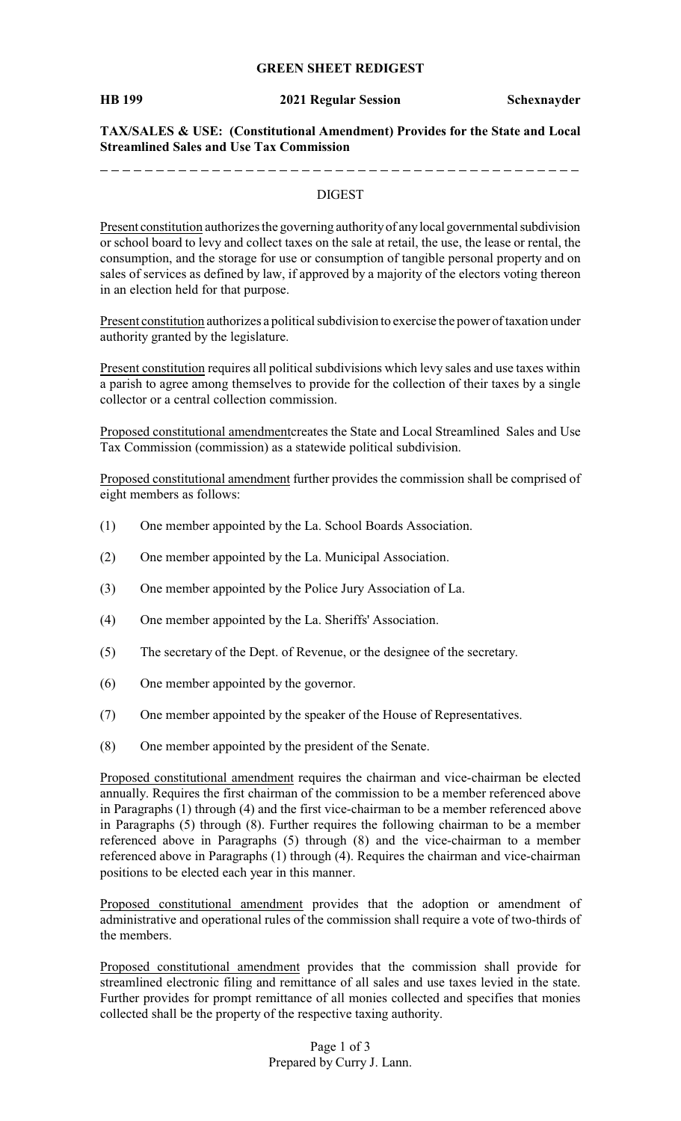## **GREEN SHEET REDIGEST**

**HB 199 2021 Regular Session Schexnayder**

**TAX/SALES & USE: (Constitutional Amendment) Provides for the State and Local Streamlined Sales and Use Tax Commission**

## DIGEST

Present constitution authorizes the governing authority of any local governmental subdivision or school board to levy and collect taxes on the sale at retail, the use, the lease or rental, the consumption, and the storage for use or consumption of tangible personal property and on sales of services as defined by law, if approved by a majority of the electors voting thereon in an election held for that purpose.

Present constitution authorizes a political subdivision to exercise the power of taxation under authority granted by the legislature.

Present constitution requires all political subdivisions which levy sales and use taxes within a parish to agree among themselves to provide for the collection of their taxes by a single collector or a central collection commission.

Proposed constitutional amendmentcreates the State and Local Streamlined Sales and Use Tax Commission (commission) as a statewide political subdivision.

Proposed constitutional amendment further provides the commission shall be comprised of eight members as follows:

- (1) One member appointed by the La. School Boards Association.
- (2) One member appointed by the La. Municipal Association.
- (3) One member appointed by the Police Jury Association of La.
- (4) One member appointed by the La. Sheriffs' Association.
- (5) The secretary of the Dept. of Revenue, or the designee of the secretary.
- (6) One member appointed by the governor.
- (7) One member appointed by the speaker of the House of Representatives.
- (8) One member appointed by the president of the Senate.

Proposed constitutional amendment requires the chairman and vice-chairman be elected annually. Requires the first chairman of the commission to be a member referenced above in Paragraphs (1) through (4) and the first vice-chairman to be a member referenced above in Paragraphs (5) through (8). Further requires the following chairman to be a member referenced above in Paragraphs (5) through (8) and the vice-chairman to a member referenced above in Paragraphs (1) through (4). Requires the chairman and vice-chairman positions to be elected each year in this manner.

Proposed constitutional amendment provides that the adoption or amendment of administrative and operational rules of the commission shall require a vote of two-thirds of the members.

Proposed constitutional amendment provides that the commission shall provide for streamlined electronic filing and remittance of all sales and use taxes levied in the state. Further provides for prompt remittance of all monies collected and specifies that monies collected shall be the property of the respective taxing authority.

> Page 1 of 3 Prepared by Curry J. Lann.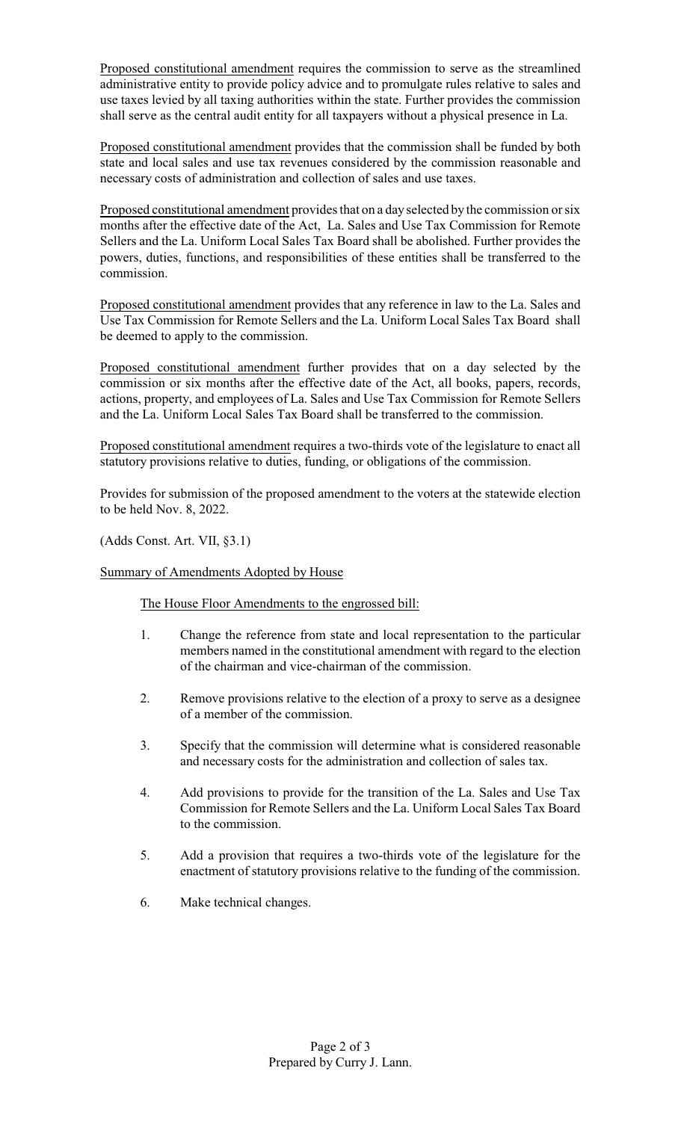Proposed constitutional amendment requires the commission to serve as the streamlined administrative entity to provide policy advice and to promulgate rules relative to sales and use taxes levied by all taxing authorities within the state. Further provides the commission shall serve as the central audit entity for all taxpayers without a physical presence in La.

Proposed constitutional amendment provides that the commission shall be funded by both state and local sales and use tax revenues considered by the commission reasonable and necessary costs of administration and collection of sales and use taxes.

Proposed constitutional amendment provides that on a day selected by the commission or six months after the effective date of the Act, La. Sales and Use Tax Commission for Remote Sellers and the La. Uniform Local Sales Tax Board shall be abolished. Further provides the powers, duties, functions, and responsibilities of these entities shall be transferred to the commission.

Proposed constitutional amendment provides that any reference in law to the La. Sales and Use Tax Commission for Remote Sellers and the La. Uniform Local Sales Tax Board shall be deemed to apply to the commission.

Proposed constitutional amendment further provides that on a day selected by the commission or six months after the effective date of the Act, all books, papers, records, actions, property, and employees of La. Sales and Use Tax Commission for Remote Sellers and the La. Uniform Local Sales Tax Board shall be transferred to the commission.

Proposed constitutional amendment requires a two-thirds vote of the legislature to enact all statutory provisions relative to duties, funding, or obligations of the commission.

Provides for submission of the proposed amendment to the voters at the statewide election to be held Nov. 8, 2022.

(Adds Const. Art. VII, §3.1)

Summary of Amendments Adopted by House

The House Floor Amendments to the engrossed bill:

- 1. Change the reference from state and local representation to the particular members named in the constitutional amendment with regard to the election of the chairman and vice-chairman of the commission.
- 2. Remove provisions relative to the election of a proxy to serve as a designee of a member of the commission.
- 3. Specify that the commission will determine what is considered reasonable and necessary costs for the administration and collection of sales tax.
- 4. Add provisions to provide for the transition of the La. Sales and Use Tax Commission for Remote Sellers and the La. Uniform Local Sales Tax Board to the commission.
- 5. Add a provision that requires a two-thirds vote of the legislature for the enactment of statutory provisions relative to the funding of the commission.
- 6. Make technical changes.